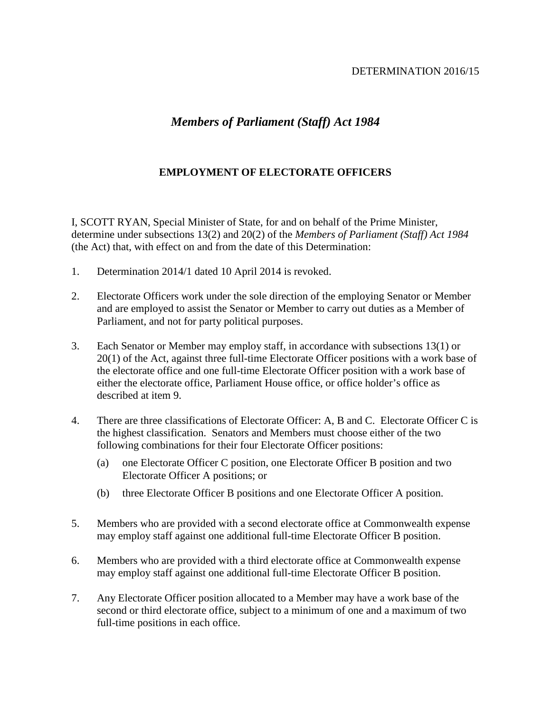## DETERMINATION 2016/15

## *Members of Parliament (Staff) Act 1984*

## **EMPLOYMENT OF ELECTORATE OFFICERS**

I, SCOTT RYAN, Special Minister of State, for and on behalf of the Prime Minister, determine under subsections 13(2) and 20(2) of the *Members of Parliament (Staff) Act 1984* (the Act) that, with effect on and from the date of this Determination:

- 1. Determination 2014/1 dated 10 April 2014 is revoked.
- 2. Electorate Officers work under the sole direction of the employing Senator or Member and are employed to assist the Senator or Member to carry out duties as a Member of Parliament, and not for party political purposes.
- 3. Each Senator or Member may employ staff, in accordance with subsections 13(1) or 20(1) of the Act, against three full-time Electorate Officer positions with a work base of the electorate office and one full-time Electorate Officer position with a work base of either the electorate office, Parliament House office, or office holder's office as described at item 9.
- 4. There are three classifications of Electorate Officer: A, B and C. Electorate Officer C is the highest classification. Senators and Members must choose either of the two following combinations for their four Electorate Officer positions:
	- (a) one Electorate Officer C position, one Electorate Officer B position and two Electorate Officer A positions; or
	- (b) three Electorate Officer B positions and one Electorate Officer A position.
- 5. Members who are provided with a second electorate office at Commonwealth expense may employ staff against one additional full-time Electorate Officer B position.
- 6. Members who are provided with a third electorate office at Commonwealth expense may employ staff against one additional full-time Electorate Officer B position.
- 7. Any Electorate Officer position allocated to a Member may have a work base of the second or third electorate office, subject to a minimum of one and a maximum of two full-time positions in each office.